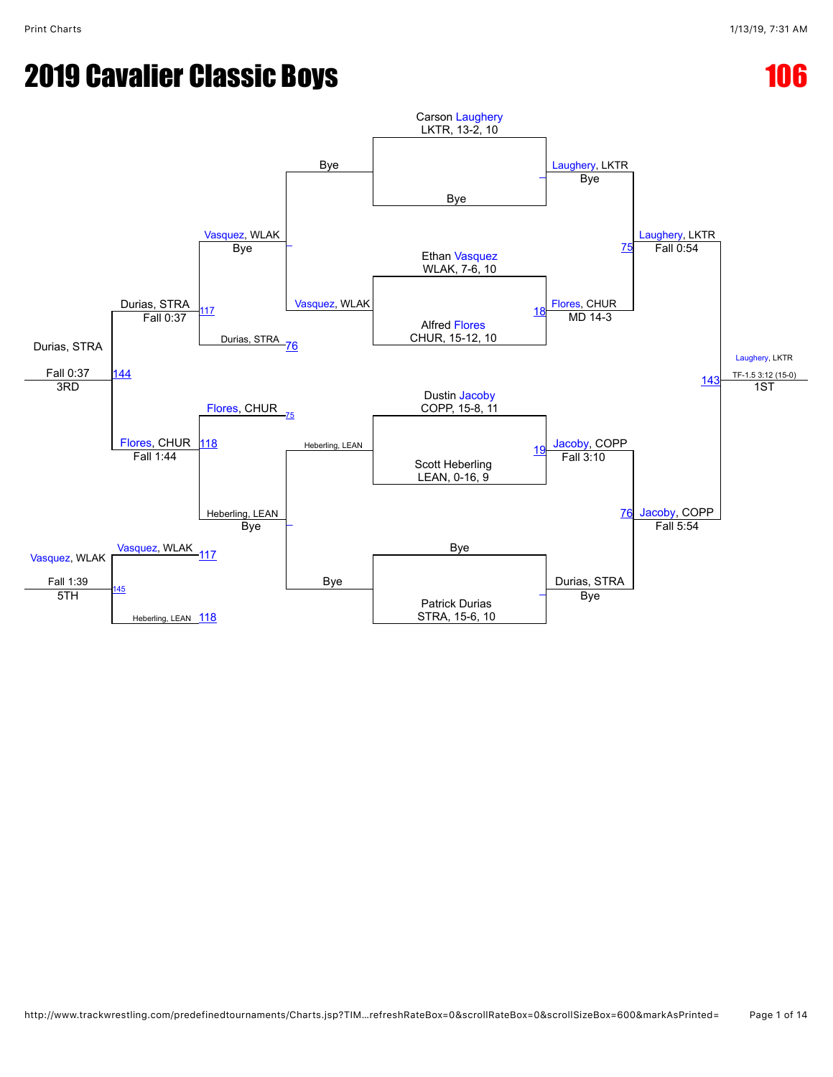## **2019 Cavalier Classic Boys 106 2019 Cavalier Classic Boys**

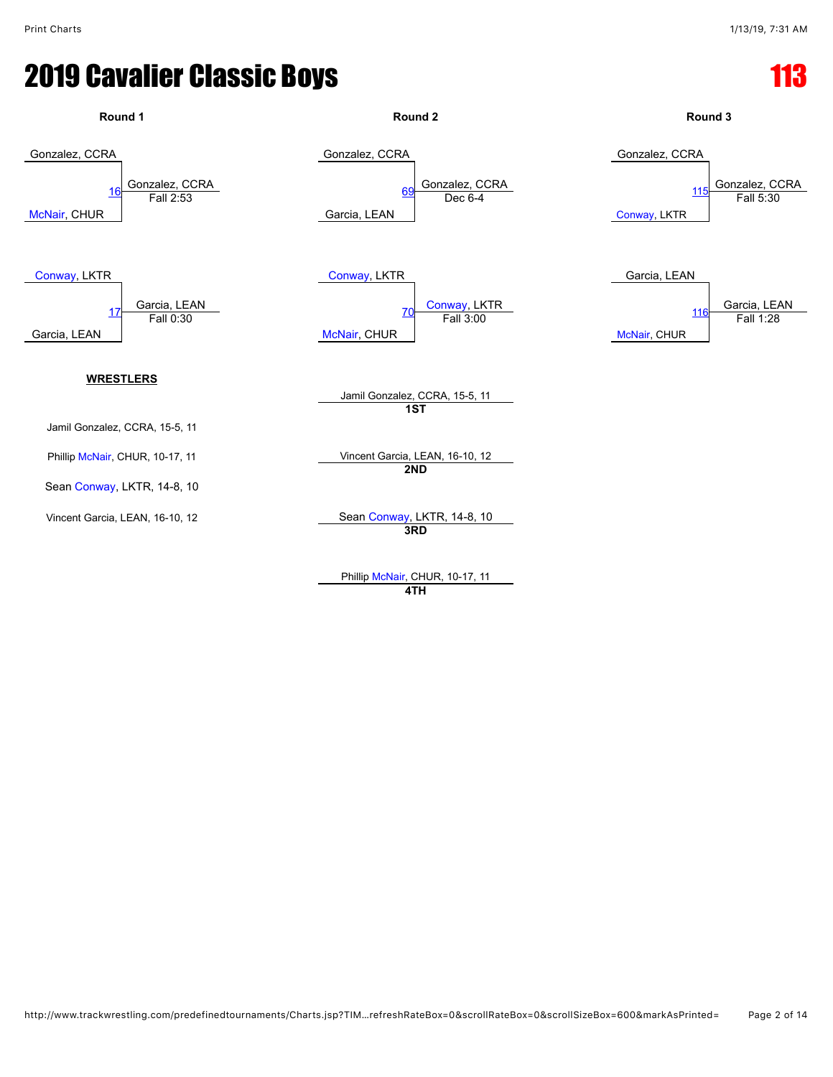

Phillip [McNair,](javascript:viewProfile(47967076)) CHUR, 10-17, 11 **4TH**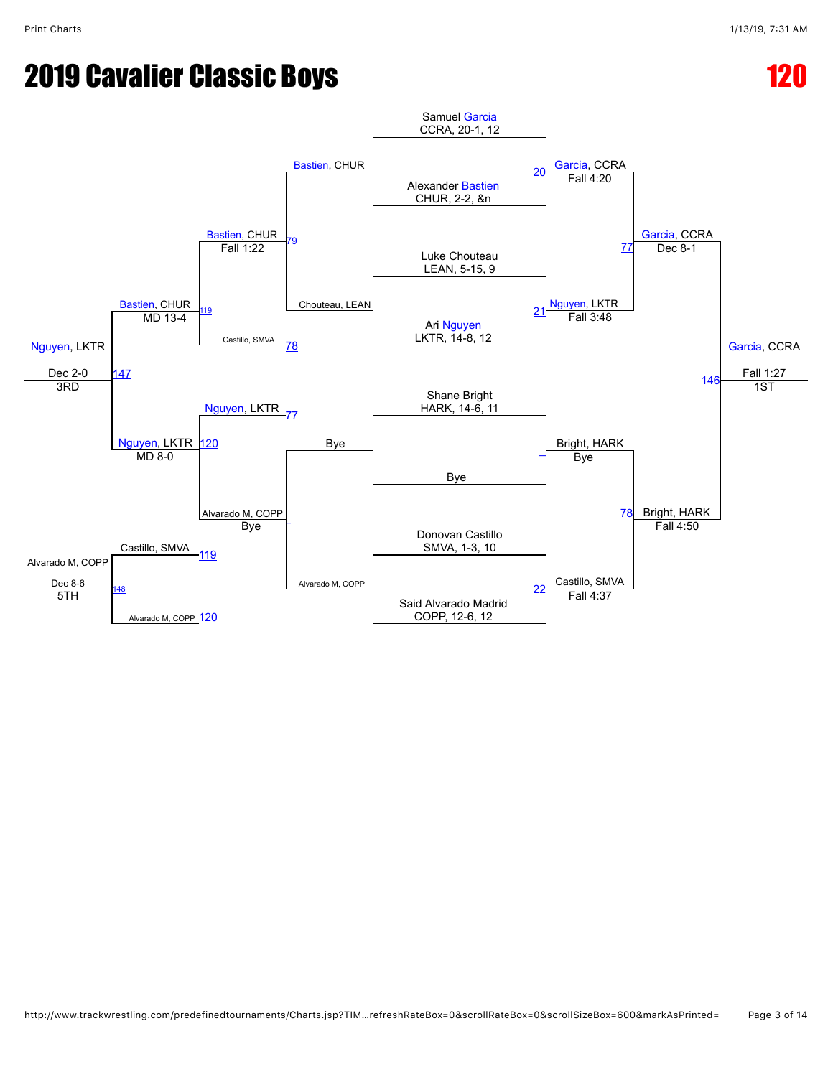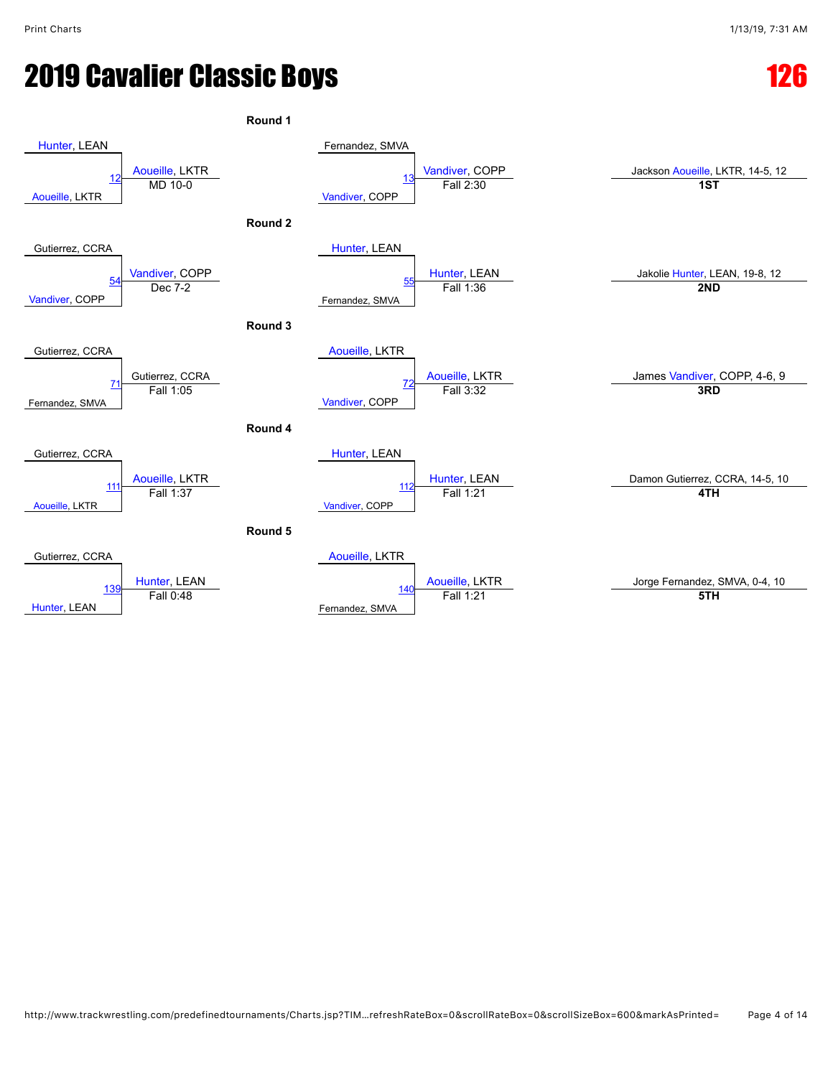**Round 1** [Hunter](javascript:viewProfile(973710009)), LEAN [Aoueille](javascript:viewProfile(72845096)), LKTR Fernandez, SMVA [Vandiver,](javascript:viewProfile(908383132)) COPP Jackson [Aoueille](javascript:viewProfile(72845096)), LKTR, 14-5, 12 [Aoueille,](javascript:viewProfile(72845096)) LKTR [12](javascript:openBoutSheet(1,) [Vandiver,](javascript:viewProfile(908383132)) COPP and [13](javascript:openBoutSheet(2,) **and 13 13 13 13 13 13 13T 141 11 15T Round 2** Gutierrez, CCRA [Vandiver,](javascript:viewProfile(908383132)) COPP [Hunter,](javascript:viewProfile(973710009)) LEAN [Hunter,](javascript:viewProfile(973710009)) LEAN Jakolie [Hunter,](javascript:viewProfile(973710009)) LEAN, 19-8, 12 [Vandiver](javascript:viewProfile(908383132)), COPP [54](javascript:openBoutSheet(3,) Fernandez, SMVA [55](javascript:openBoutSheet(4,) Dec 7-2 Fall 1:36 **2ND Round 3** Gutierrez, CCRA Gutierrez, CCRA [Aoueille](javascript:viewProfile(72845096)), LKTR [Aoueille](javascript:viewProfile(72845096)), LKTR James [Vandiver](javascript:viewProfile(908383132)), COPP, 4-6, 9 Fernandez, SMVA [71](javascript:openBoutSheet(5,) [Vandiver,](javascript:viewProfile(908383132)) COPP [72](javascript:openBoutSheet(6,) Fall 1:05 Fall 3:32 **3RD Round 4** Gutierrez, CCRA [Aoueille](javascript:viewProfile(72845096)), LKTR<br>Fall 1:37 [Hunter,](javascript:viewProfile(973710009)) LEAN [Hunter,](javascript:viewProfile(973710009)) LEAN<br>
Fall 1:21 **Damon Gutierrez, CCRA, 14-5, 10** [Aoueille,](javascript:viewProfile(72845096)) LKTR  $11$ [Vandiver](javascript:viewProfile(908383132)), COPP [112](javascript:openBoutSheet(8,) Fall 1:37 Fall 1:21 **4TH Round 5** Gutierrez, CCRA [Hunter,](javascript:viewProfile(973710009)) LEAN [Aoueille](javascript:viewProfile(72845096)), LKTR [Aoueille](javascript:viewProfile(72845096)), LKTR Jorge Fernandez, SMVA, 0-4, 10 [Hunter](javascript:viewProfile(973710009)), LEAN 13 Fernandez, SMVA [140](javascript:openBoutSheet(10,) Fall 0:48 Fall 1:21 **5TH**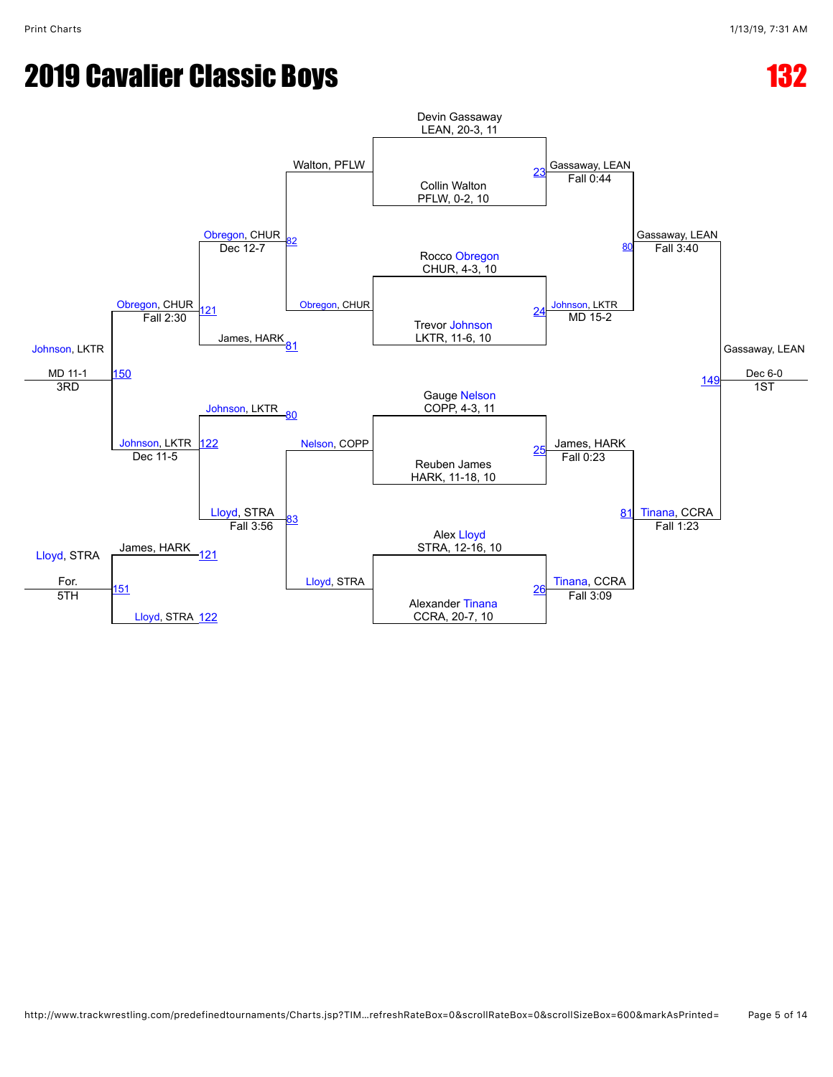## **2019 Cavalier Classic Boys 132 2019 Cavalier Classic Boys**

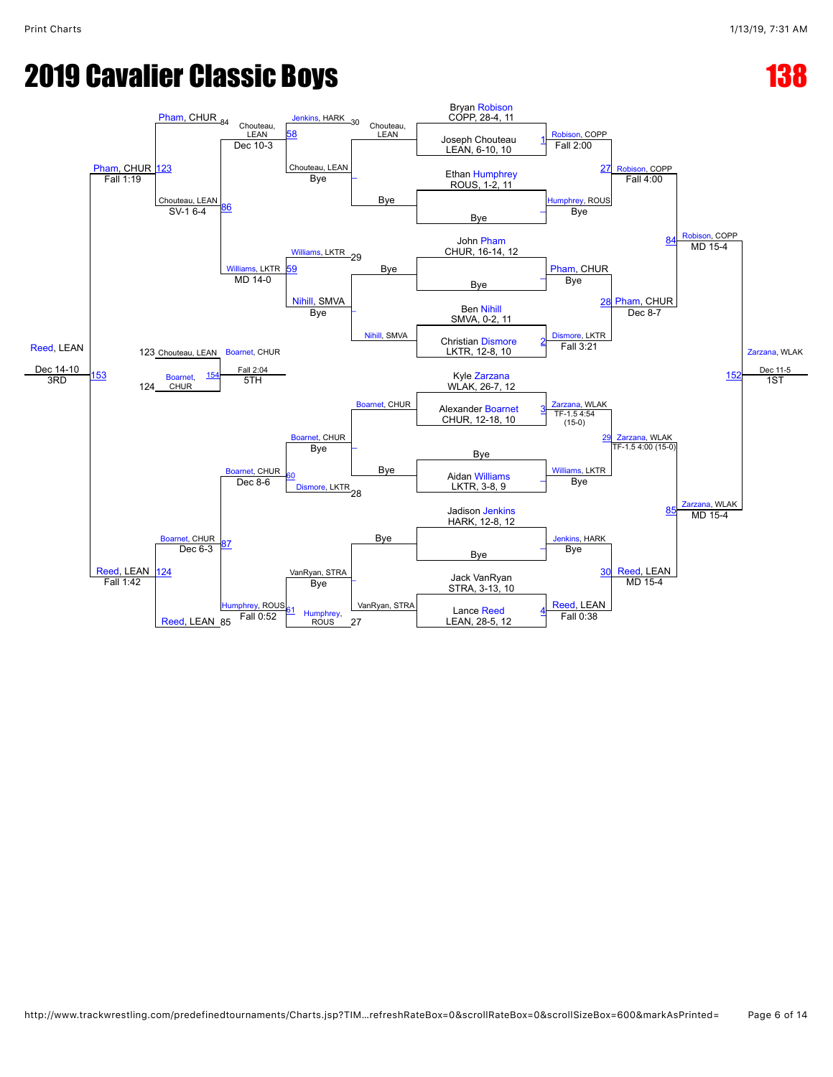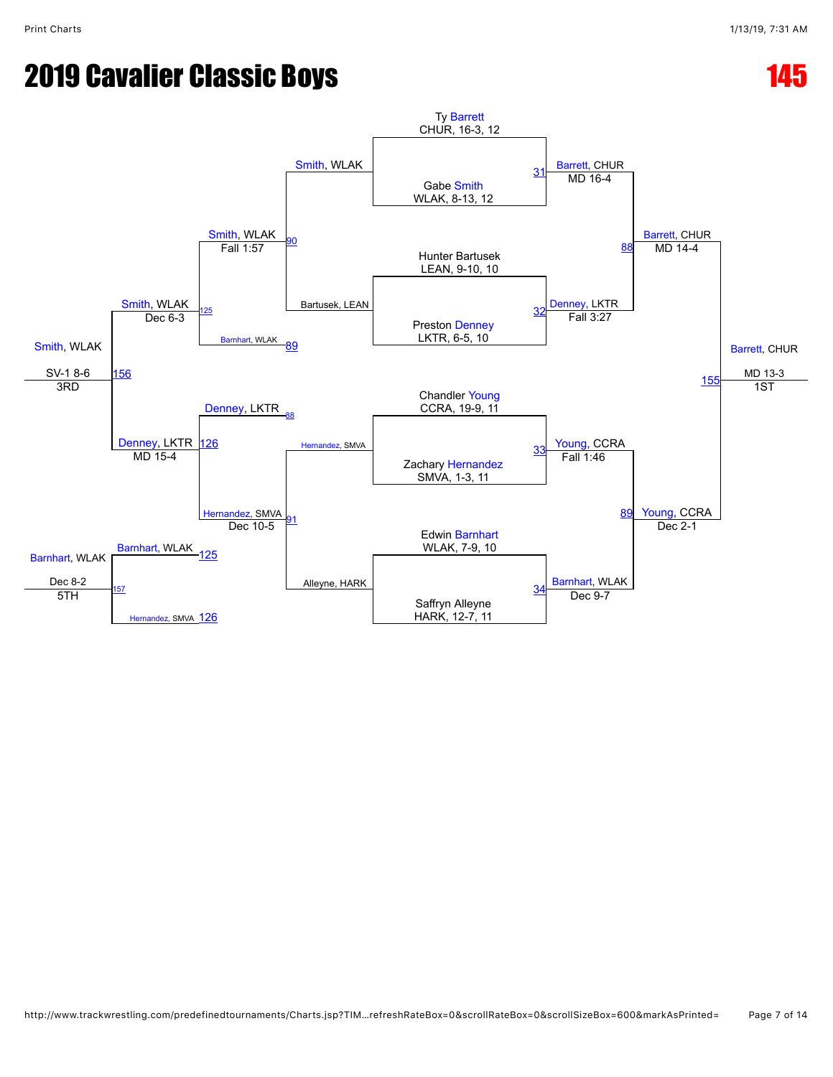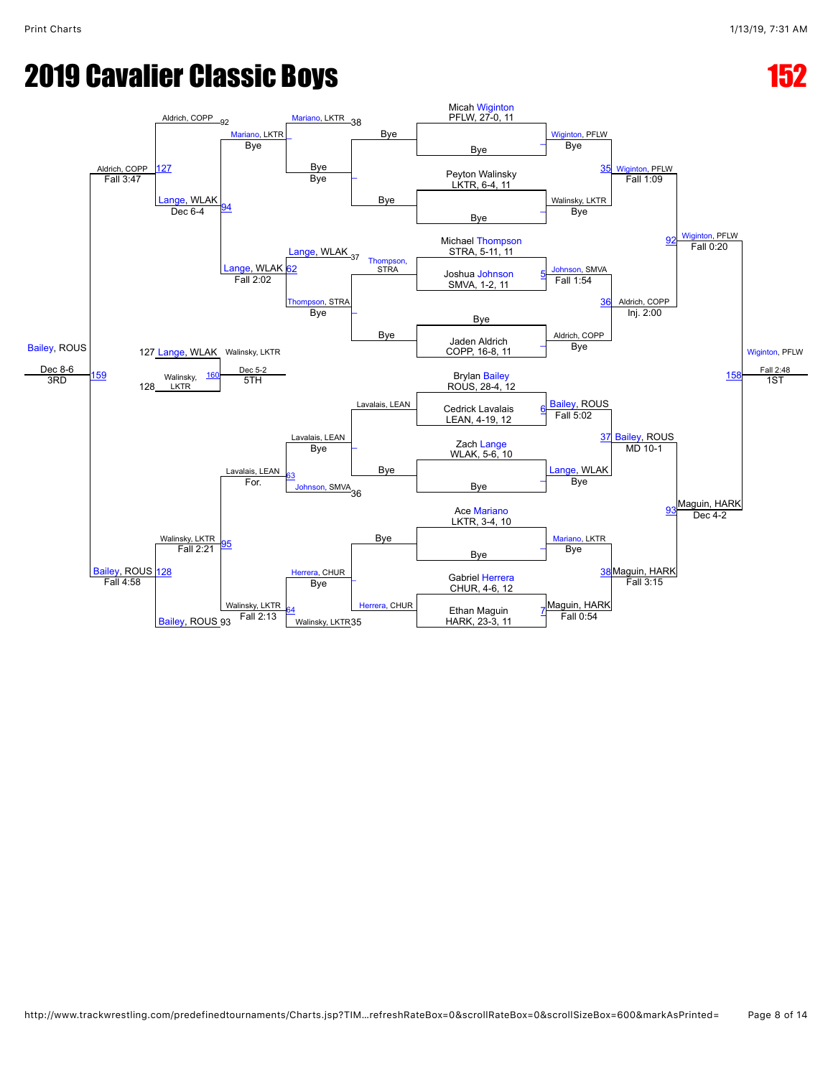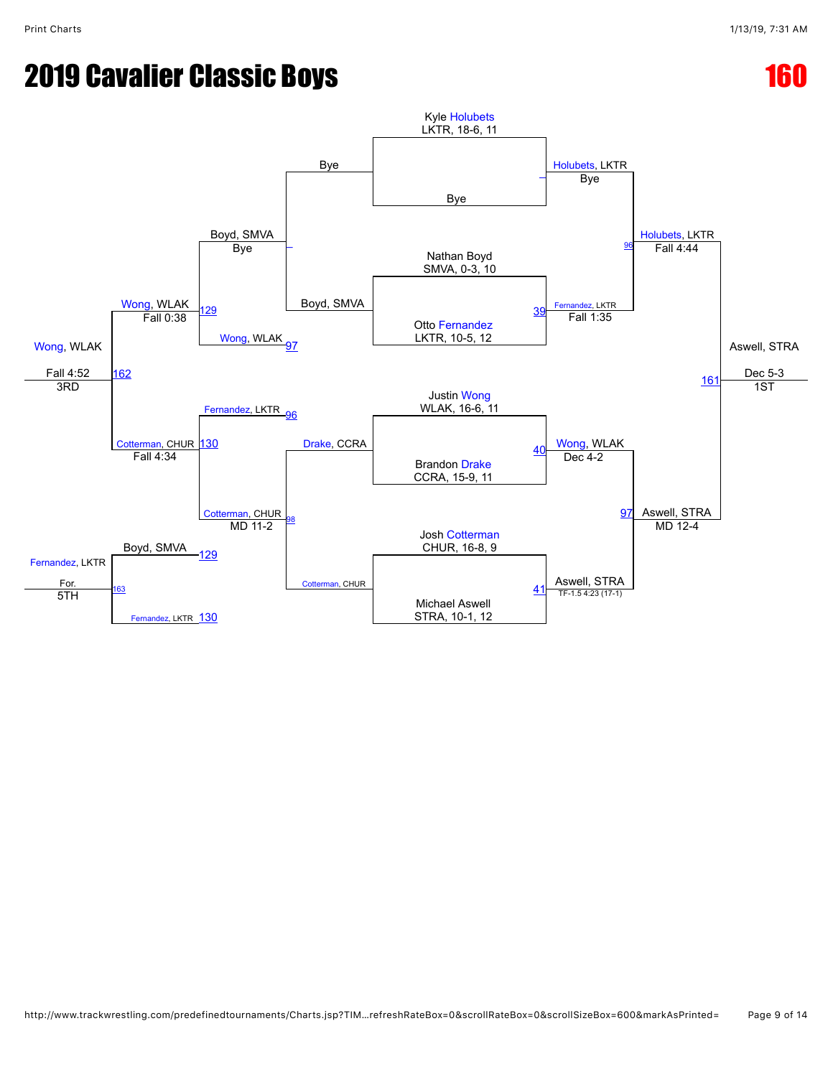## **2019 Cavalier Classic Boys 160 Automatic Property 160 Automatic Property 160 Automatic Property 160 Automatic Property 160 Automatic Property 160 Automatic Property 160 Automatic Property 160 Automatic Property 160 Automa**

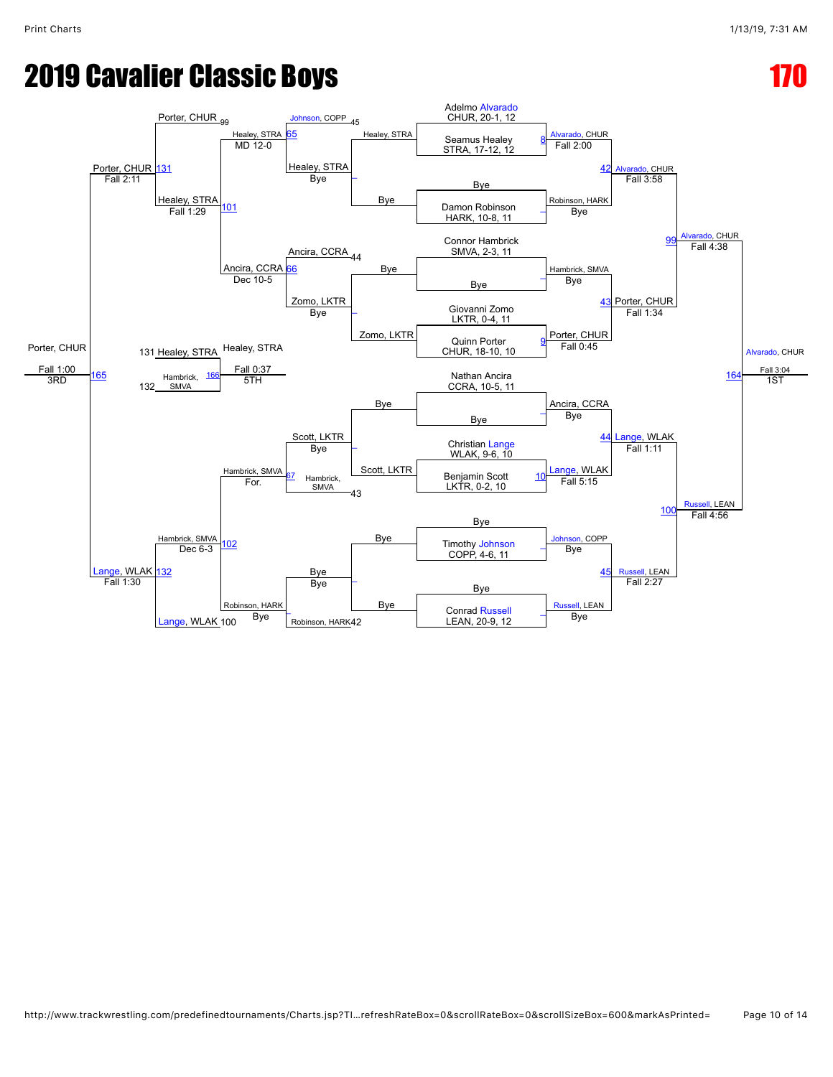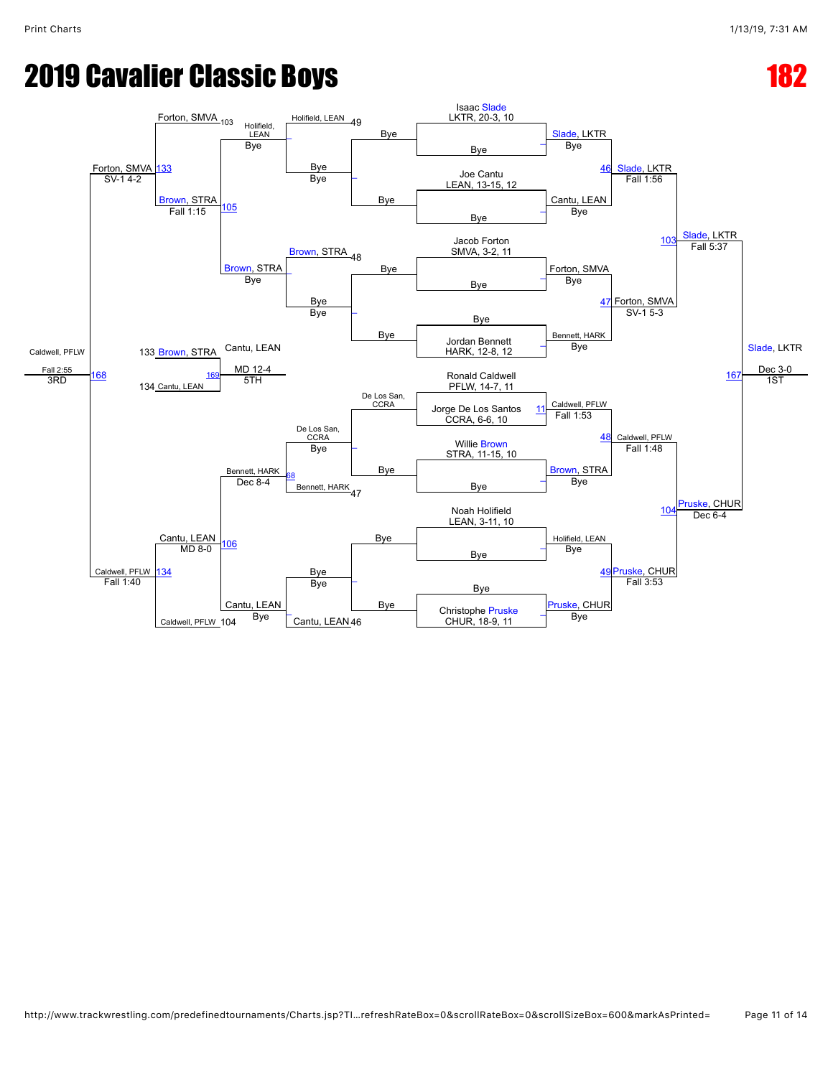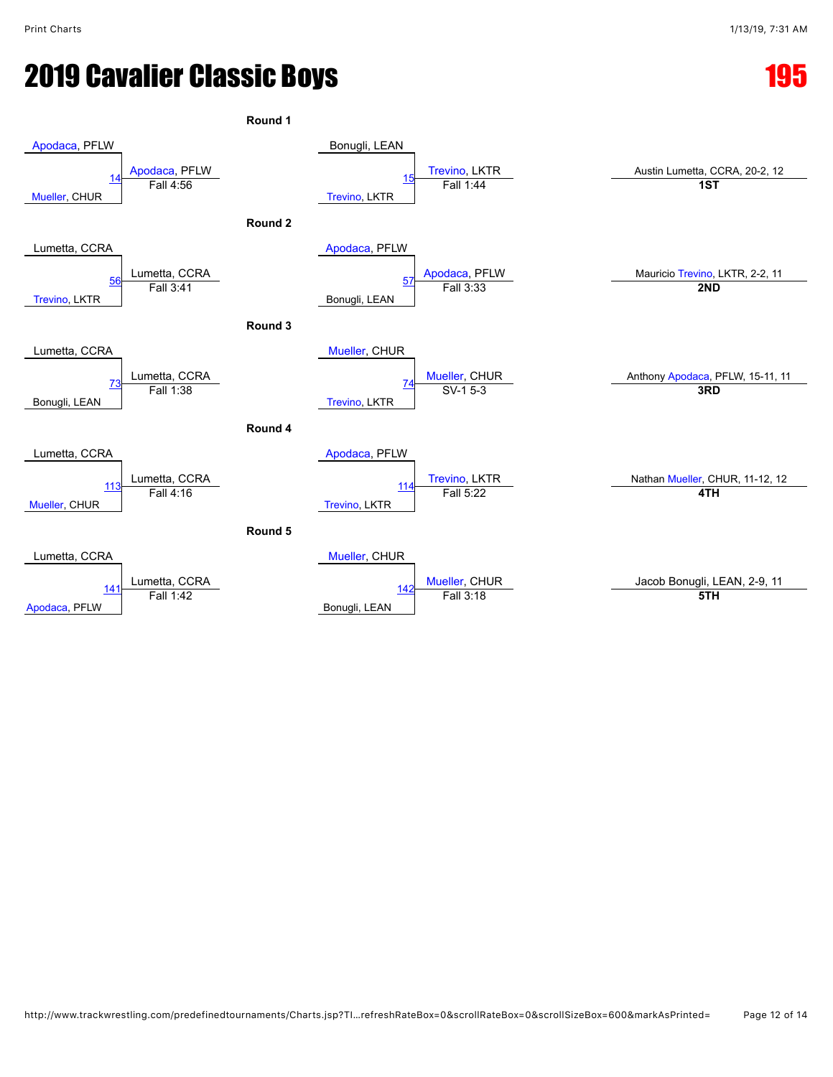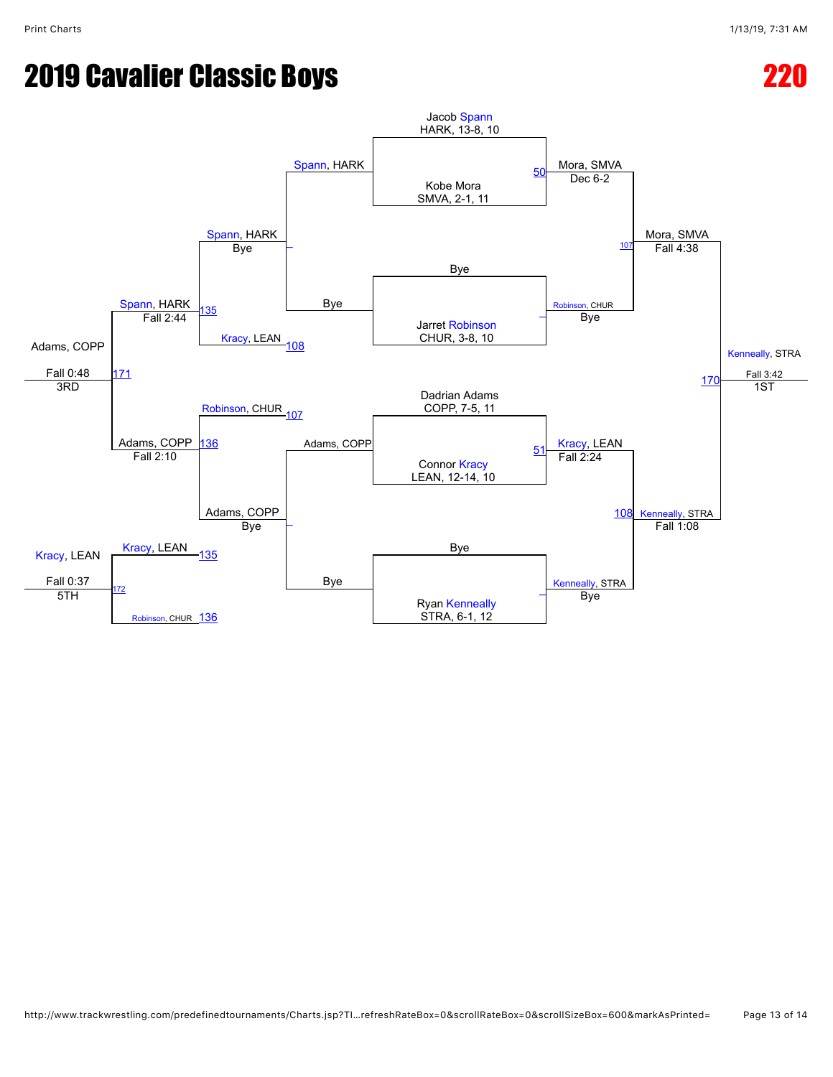## **2019 Cavalier Classic Boys 22019 Cavalier Classic Boys**